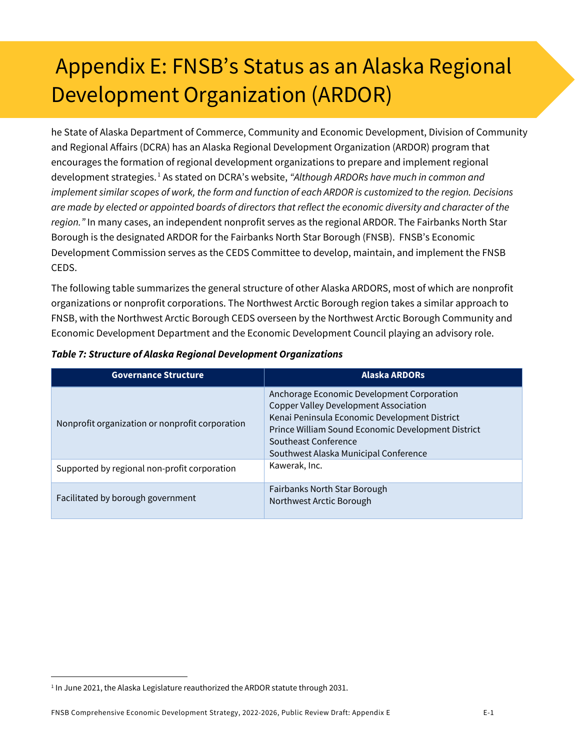## Appendix E: FNSB's Status as an Alaska Regional Development Organization (ARDOR)

he State of Alaska Department of Commerce, Community and Economic Development, Division of Community and Regional Affairs (DCRA) has an Alaska Regional Development Organization (ARDOR) program that encourages the formation of regional development organizations to prepare and implement regional development strategies. [1](#page-0-0) As stated on DCRA's website, *"Although ARDORs have much in common and implement similar scopes of work, the form and function of each ARDOR is customized to the region. Decisions are made by elected or appointed boards of directors that reflect the economic diversity and character of the region."* In many cases, an independent nonprofit serves as the regional ARDOR. The Fairbanks North Star Borough is the designated ARDOR for the Fairbanks North Star Borough (FNSB). FNSB's Economic Development Commission serves as the CEDS Committee to develop, maintain, and implement the FNSB CEDS.

The following table summarizes the general structure of other Alaska ARDORS, most of which are nonprofit organizations or nonprofit corporations. The Northwest Arctic Borough region takes a similar approach to FNSB, with the Northwest Arctic Borough CEDS overseen by the Northwest Arctic Borough Community and Economic Development Department and the Economic Development Council playing an advisory role.

| <b>Governance Structure</b>                     | <b>Alaska ARDORS</b>                                                                                                                                                                                                                                               |
|-------------------------------------------------|--------------------------------------------------------------------------------------------------------------------------------------------------------------------------------------------------------------------------------------------------------------------|
| Nonprofit organization or nonprofit corporation | Anchorage Economic Development Corporation<br><b>Copper Valley Development Association</b><br>Kenai Peninsula Economic Development District<br>Prince William Sound Economic Development District<br>Southeast Conference<br>Southwest Alaska Municipal Conference |
| Supported by regional non-profit corporation    | Kawerak, Inc.                                                                                                                                                                                                                                                      |
| Facilitated by borough government               | Fairbanks North Star Borough<br>Northwest Arctic Borough                                                                                                                                                                                                           |

*Table 7: Structure of Alaska Regional Development Organizations*

<span id="page-0-0"></span><sup>&</sup>lt;sup>1</sup> In June 2021, the Alaska Legislature reauthorized the ARDOR statute through 2031.